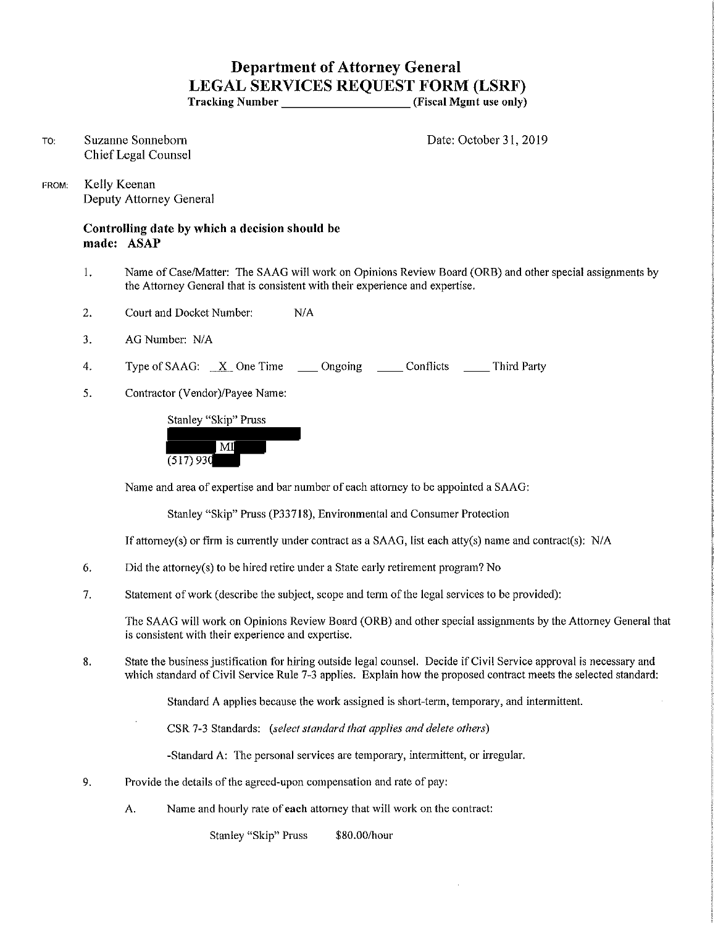## **Department of Attorney General LEGAL SERVICES REQUEST FORM (LSRF)**

**Tracking Number** (Fiscal Mgmt use only)

TO: Suzanne Sonneborn Chief Legal Counsel Date: October 31, 2019

FROM: Kelly Keenan Deputy Attorney General

> **Controlling date by which a decision should be made: ASAP**

- I. Name of Case/Matter: The SAAG will work on Opinions Review Board (ORB) and other special assignments by the Attorney General that is consistent with their experience and expertise.
- 2. Court and Docket Number: N/A
- 3. AG Number: NIA
- 4. Type of SAAG: X One Time \_\_\_ Ongoing \_\_\_\_ Conflicts \_\_\_\_ Third Party
- 5. Contractor (Vendor)/Payee Name:

Stanley "Skip" Pruss



Name and area of expertise and bar number of each attorney to be appointed a SAAG:

Stanley "Skip" Pruss (P33718), Environmental and Consumer Protection

If attorney(s) or firm is currently under contract as a SAAG, list each atty(s) name and contract(s):  $N/A$ 

- 6. Did the attorney(s) to be hired retire under a State early retirement program? No
- 7. Statement of work (describe the subject, scope and term of the legal services to be provided):

The SAAG will work on Opinions Review Board (ORB) and other special assignments by the Attorney General that **is consistent with their experience and expertise.** 

8. State the business justification for hiring outside legal counsel. Decide if Civil Service approval is necessary and which standard of Civil Service Rule 7-3 applies. Explain how the proposed contract meets the selected standard:

Standard A applies because the work assigned is short-term, temporary, and intermittent.

CSR 7-3 Standards: *(select standard that applies and delete others)* 

-Standard A: The personal services are temporary, intermittent, or irregular.

- 9. Provide the details of the agreed-upon compensation and rate of pay:
	- A. Name and hourly rate of **each** attorney that will work on the contract:

Stanley "Skip" Pruss \$80.00/hour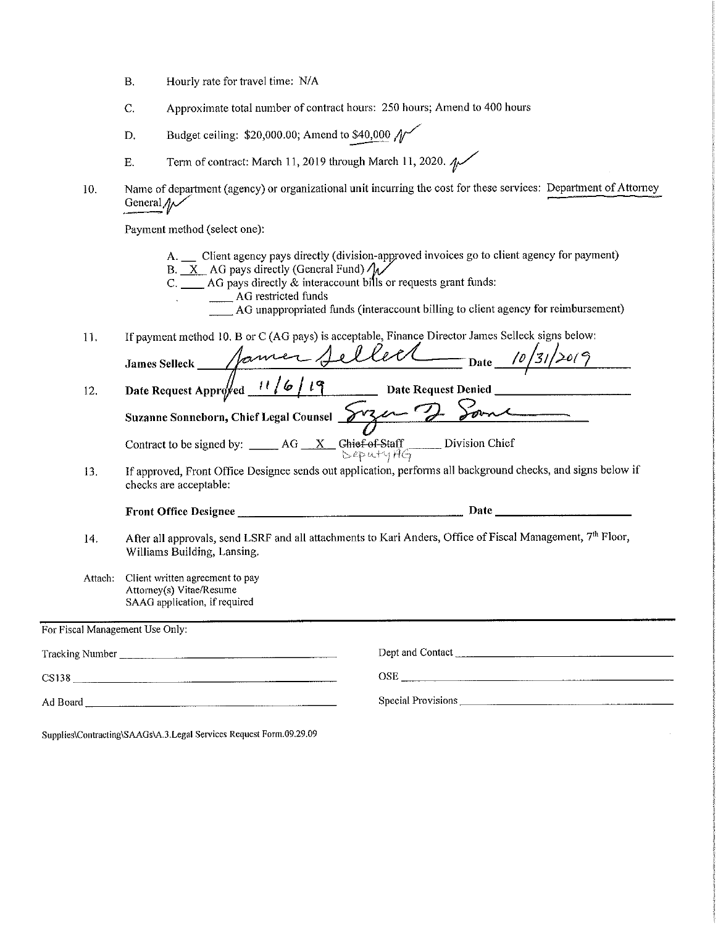- B. Hourly rate for travel time: N/A
- C. Approximate total number of contract hours: 250 hours; Amend to 400 hours
- D. Budget ceiling:  $$20,000.00$ ; Amend to  $$40,000$   $\mathcal{N}$
- E. Term of contract: March 11, 2019 through March 11, 2020.  $\sim$
- 10. Name of department (agency) or organizational unit incurring the cost for these services: Department of Attorney General $\psi$

Payment method (select one):

|                                 | a ayındır momou təcibbi önce                                                                                                                                                                                                                                                                                                                         |
|---------------------------------|------------------------------------------------------------------------------------------------------------------------------------------------------------------------------------------------------------------------------------------------------------------------------------------------------------------------------------------------------|
|                                 | A. __ Client agency pays directly (division-approved invoices go to client agency for payment)<br>B. $X$ AG pays directly (General Fund) $\sqrt{\sqrt{ }}$<br>$C.$ AG pays directly $\&$ interaccount bills or requests grant funds:<br>___ AG restricted funds<br>AG unappropriated funds (interaccount billing to client agency for reimbursement) |
| 11.                             | If payment method 10. B or C (AG pays) is acceptable, Finance Director James Selleck signs below:                                                                                                                                                                                                                                                    |
|                                 |                                                                                                                                                                                                                                                                                                                                                      |
| 12.                             | James Selleck Sainter Sellect Date 10/31/2019                                                                                                                                                                                                                                                                                                        |
|                                 | Suzanne Sonneborn, Chief Legal Counsel 873 et 7 Sound                                                                                                                                                                                                                                                                                                |
|                                 |                                                                                                                                                                                                                                                                                                                                                      |
|                                 |                                                                                                                                                                                                                                                                                                                                                      |
| 13.                             | Contract to be signed by: _____ AG __X_ Chief of Staff Division Chief<br>If approved, Front Office Designee sends out application, performs all background checks, and signs below if<br>checks are acceptable:                                                                                                                                      |
|                                 |                                                                                                                                                                                                                                                                                                                                                      |
| 14.                             | After all approvals, send LSRF and all attachments to Kari Anders, Office of Fiscal Management, 7 <sup>th</sup> Floor,<br>Williams Building, Lansing.                                                                                                                                                                                                |
| Attach:                         | Client written agreement to pay<br>Attorney(s) Vitae/Resume<br>SAAG application, if required                                                                                                                                                                                                                                                         |
|                                 |                                                                                                                                                                                                                                                                                                                                                      |
|                                 |                                                                                                                                                                                                                                                                                                                                                      |
| For Fiscal Management Use Only: | $\begin{tabular}{c} OSE & \textbf{0.013} & \textbf{0.001} \\ \hline \end{tabular}$                                                                                                                                                                                                                                                                   |

**Supplies\Contracting\SAAGs\A.3.Legal Services Request Form.09.29.09**